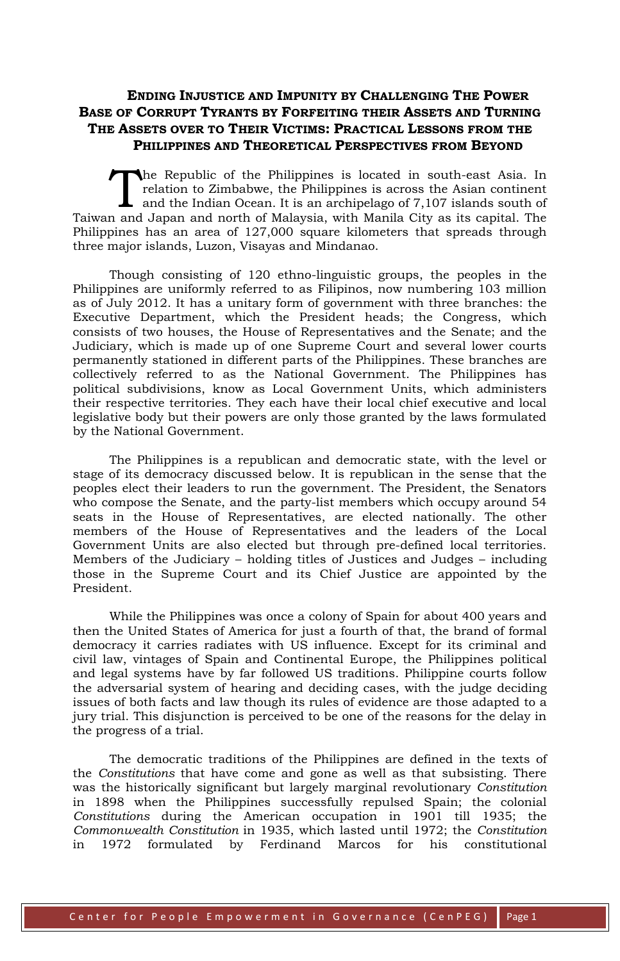## **ENDING INJUSTICE AND IMPUNITY BY CHALLENGING THE POWER BASE OF CORRUPT TYRANTS BY FORFEITING THEIR ASSETS AND TURNING THE ASSETS OVER TO THEIR VICTIMS: PRACTICAL LESSONS FROM THE PHILIPPINES AND THEORETICAL PERSPECTIVES FROM BEYOND**

he Republic of the Philippines is located in south-east Asia. In relation to Zimbabwe, the Philippines is across the Asian continent and the Indian Ocean. It is an archipelago of 7,107 islands south of Taiwan and Japan and north of Malaysia, with Manila City as its capital. The Philippines has an area of 127,000 square kilometers that spreads through three major islands, Luzon, Visayas and Mindanao. T<br>n and

Though consisting of 120 ethno-linguistic groups, the peoples in the Philippines are uniformly referred to as Filipinos, now numbering 103 million as of July 2012. It has a unitary form of government with three branches: the Executive Department, which the President heads; the Congress, which consists of two houses, the House of Representatives and the Senate; and the Judiciary, which is made up of one Supreme Court and several lower courts permanently stationed in different parts of the Philippines. These branches are collectively referred to as the National Government. The Philippines has political subdivisions, know as Local Government Units, which administers their respective territories. They each have their local chief executive and local legislative body but their powers are only those granted by the laws formulated by the National Government.

The Philippines is a republican and democratic state, with the level or stage of its democracy discussed below. It is republican in the sense that the peoples elect their leaders to run the government. The President, the Senators who compose the Senate, and the party-list members which occupy around 54 seats in the House of Representatives, are elected nationally. The other members of the House of Representatives and the leaders of the Local Government Units are also elected but through pre-defined local territories. Members of the Judiciary – holding titles of Justices and Judges – including those in the Supreme Court and its Chief Justice are appointed by the President.

While the Philippines was once a colony of Spain for about 400 years and then the United States of America for just a fourth of that, the brand of formal democracy it carries radiates with US influence. Except for its criminal and civil law, vintages of Spain and Continental Europe, the Philippines political and legal systems have by far followed US traditions. Philippine courts follow the adversarial system of hearing and deciding cases, with the judge deciding issues of both facts and law though its rules of evidence are those adapted to a jury trial. This disjunction is perceived to be one of the reasons for the delay in the progress of a trial.

The democratic traditions of the Philippines are defined in the texts of the *Constitutions* that have come and gone as well as that subsisting. There was the historically significant but largely marginal revolutionary *Constitution* in 1898 when the Philippines successfully repulsed Spain; the colonial *Constitutions* during the American occupation in 1901 till 1935; the *Commonwealth Constitution* in 1935, which lasted until 1972; the *Constitution* in 1972 formulated by Ferdinand Marcos for his constitutional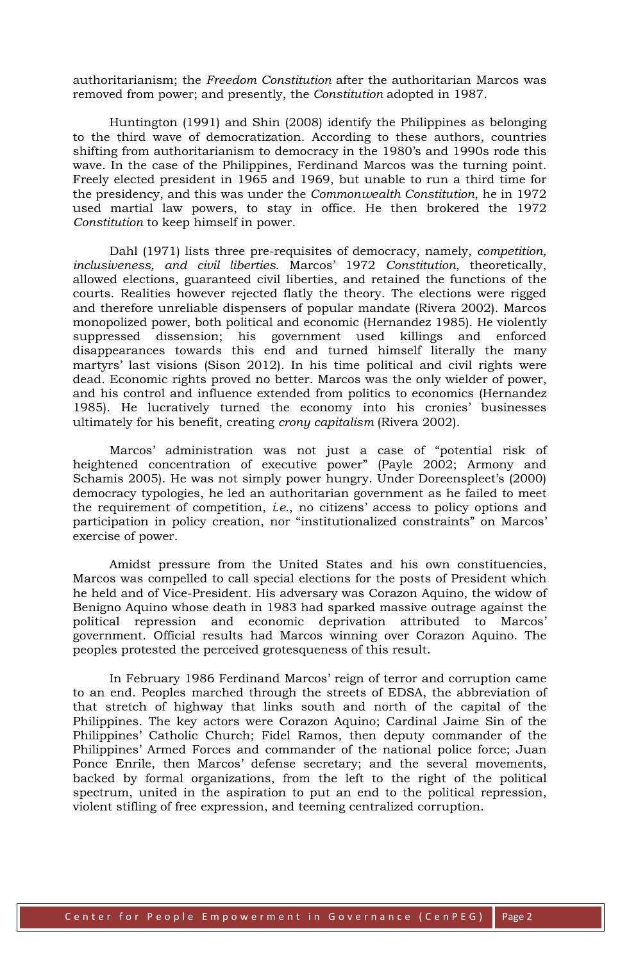authoritarianism; the *Freedom Constitution* after the authoritarian Marcos was removed from power; and presently, the *Constitution* adopted in 1987.

Huntington (1991) and Shin (2008) identify the Philippines as belonging to the third wave of democratization. According to these authors, countries shifting from authoritarianism to democracy in the 1980's and 1990s rode this wave. In the case of the Philippines, Ferdinand Marcos was the turning point. Freely elected president in 1965 and 1969, but unable to run a third time for the presidency, and this was under the *Commonwealth Constitution*, he in 1972 used martial law powers, to stay in office. He then brokered the 1972 *Constitution* to keep himself in power.

Dahl (1971) lists three pre-requisites of democracy, namely, *competition, inclusiveness, and civil liberties*. Marcos' 1972 *Constitution*, theoretically, allowed elections, guaranteed civil liberties, and retained the functions of the courts. Realities however rejected flatly the theory. The elections were rigged and therefore unreliable dispensers of popular mandate (Rivera 2002). Marcos monopolized power, both political and economic (Hernandez 1985). He violently suppressed dissension; his government used killings and enforced disappearances towards this end and turned himself literally the many martyrs' last visions (Sison 2012). In his time political and civil rights were dead. Economic rights proved no better. Marcos was the only wielder of power, and his control and influence extended from politics to economics (Hernandez 1985). He lucratively turned the economy into his cronies' businesses ultimately for his benefit, creating *crony capitalism* (Rivera 2002).

Marcos' administration was not just a case of "potential risk of heightened concentration of executive power" (Payle 2002; Armony and Schamis 2005). He was not simply power hungry. Under Doreenspleet's (2000) democracy typologies, he led an authoritarian government as he failed to meet the requirement of competition, *i.e.*, no citizens' access to policy options and participation in policy creation, nor "institutionalized constraints" on Marcos' exercise of power.

Amidst pressure from the United States and his own constituencies, Marcos was compelled to call special elections for the posts of President which he held and of Vice-President. His adversary was Corazon Aquino, the widow of Benigno Aquino whose death in 1983 had sparked massive outrage against the political repression and economic deprivation attributed to Marcos' government. Official results had Marcos winning over Corazon Aquino. The peoples protested the perceived grotesqueness of this result.

In February 1986 Ferdinand Marcos' reign of terror and corruption came to an end. Peoples marched through the streets of EDSA, the abbreviation of that stretch of highway that links south and north of the capital of the Philippines. The key actors were Corazon Aquino; Cardinal Jaime Sin of the Philippines' Catholic Church; Fidel Ramos, then deputy commander of the Philippines' Armed Forces and commander of the national police force; Juan Ponce Enrile, then Marcos' defense secretary; and the several movements, backed by formal organizations, from the left to the right of the political spectrum, united in the aspiration to put an end to the political repression, violent stifling of free expression, and teeming centralized corruption.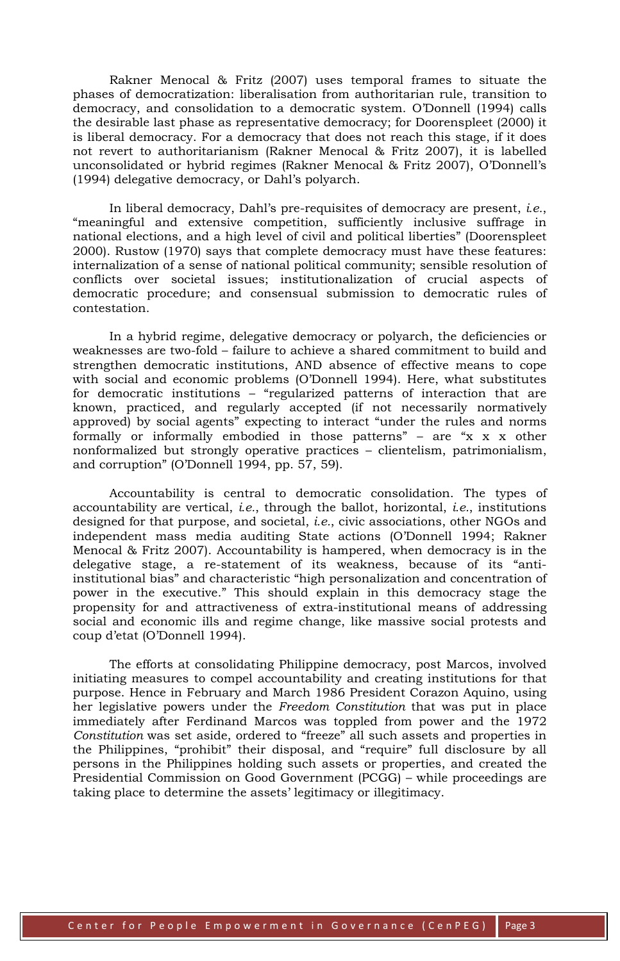Rakner Menocal & Fritz (2007) uses temporal frames to situate the phases of democratization: liberalisation from authoritarian rule, transition to democracy, and consolidation to a democratic system. O'Donnell (1994) calls the desirable last phase as representative democracy; for Doorenspleet (2000) it is liberal democracy. For a democracy that does not reach this stage, if it does not revert to authoritarianism (Rakner Menocal & Fritz 2007), it is labelled unconsolidated or hybrid regimes (Rakner Menocal & Fritz 2007), O'Donnell's (1994) delegative democracy, or Dahl's polyarch.

In liberal democracy, Dahl's pre-requisites of democracy are present, *i.e.*, "meaningful and extensive competition, sufficiently inclusive suffrage in national elections, and a high level of civil and political liberties" (Doorenspleet 2000). Rustow (1970) says that complete democracy must have these features: internalization of a sense of national political community; sensible resolution of conflicts over societal issues; institutionalization of crucial aspects of democratic procedure; and consensual submission to democratic rules of contestation.

In a hybrid regime, delegative democracy or polyarch, the deficiencies or weaknesses are two-fold – failure to achieve a shared commitment to build and strengthen democratic institutions, AND absence of effective means to cope with social and economic problems (O'Donnell 1994). Here, what substitutes for democratic institutions – "regularized patterns of interaction that are known, practiced, and regularly accepted (if not necessarily normatively approved) by social agents" expecting to interact "under the rules and norms formally or informally embodied in those patterns" – are " $x \times x$  other nonformalized but strongly operative practices – clientelism, patrimonialism, and corruption" (O'Donnell 1994, pp. 57, 59).

Accountability is central to democratic consolidation. The types of accountability are vertical, *i.e.*, through the ballot, horizontal, *i.e.*, institutions designed for that purpose, and societal, *i.e.*, civic associations, other NGOs and independent mass media auditing State actions (O'Donnell 1994; Rakner Menocal & Fritz 2007). Accountability is hampered, when democracy is in the delegative stage, a re-statement of its weakness, because of its "antiinstitutional bias" and characteristic "high personalization and concentration of power in the executive." This should explain in this democracy stage the propensity for and attractiveness of extra-institutional means of addressing social and economic ills and regime change, like massive social protests and coup d'etat (O'Donnell 1994).

The efforts at consolidating Philippine democracy, post Marcos, involved initiating measures to compel accountability and creating institutions for that purpose. Hence in February and March 1986 President Corazon Aquino, using her legislative powers under the *Freedom Constitution* that was put in place immediately after Ferdinand Marcos was toppled from power and the 1972 *Constitution* was set aside, ordered to "freeze" all such assets and properties in the Philippines, "prohibit" their disposal, and "require" full disclosure by all persons in the Philippines holding such assets or properties, and created the Presidential Commission on Good Government (PCGG) – while proceedings are taking place to determine the assets' legitimacy or illegitimacy.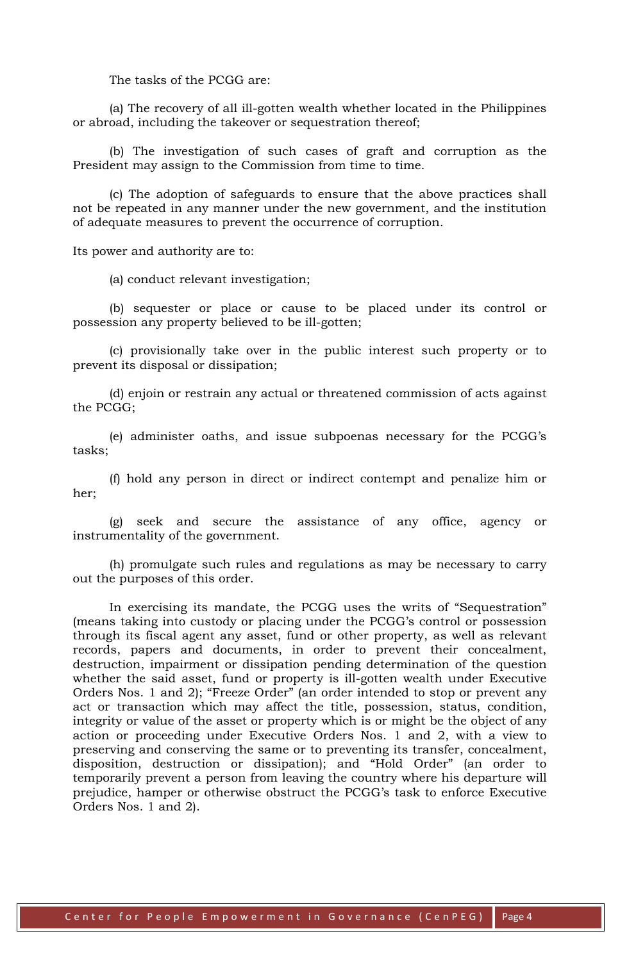The tasks of the PCGG are:

(a) The recovery of all ill-gotten wealth whether located in the Philippines or abroad, including the takeover or sequestration thereof;

(b) The investigation of such cases of graft and corruption as the President may assign to the Commission from time to time.

(c) The adoption of safeguards to ensure that the above practices shall not be repeated in any manner under the new government, and the institution of adequate measures to prevent the occurrence of corruption.

Its power and authority are to:

(a) conduct relevant investigation;

(b) sequester or place or cause to be placed under its control or possession any property believed to be ill-gotten;

(c) provisionally take over in the public interest such property or to prevent its disposal or dissipation;

(d) enjoin or restrain any actual or threatened commission of acts against the PCGG;

(e) administer oaths, and issue subpoenas necessary for the PCGG's tasks;

(f) hold any person in direct or indirect contempt and penalize him or her;

(g) seek and secure the assistance of any office, agency or instrumentality of the government.

(h) promulgate such rules and regulations as may be necessary to carry out the purposes of this order.

In exercising its mandate, the PCGG uses the writs of "Sequestration" (means taking into custody or placing under the PCGG's control or possession through its fiscal agent any asset, fund or other property, as well as relevant records, papers and documents, in order to prevent their concealment, destruction, impairment or dissipation pending determination of the question whether the said asset, fund or property is ill-gotten wealth under Executive Orders Nos. 1 and 2); "Freeze Order" (an order intended to stop or prevent any act or transaction which may affect the title, possession, status, condition, integrity or value of the asset or property which is or might be the object of any action or proceeding under Executive Orders Nos. 1 and 2, with a view to preserving and conserving the same or to preventing its transfer, concealment, disposition, destruction or dissipation); and "Hold Order" (an order to temporarily prevent a person from leaving the country where his departure will prejudice, hamper or otherwise obstruct the PCGG's task to enforce Executive Orders Nos. 1 and 2).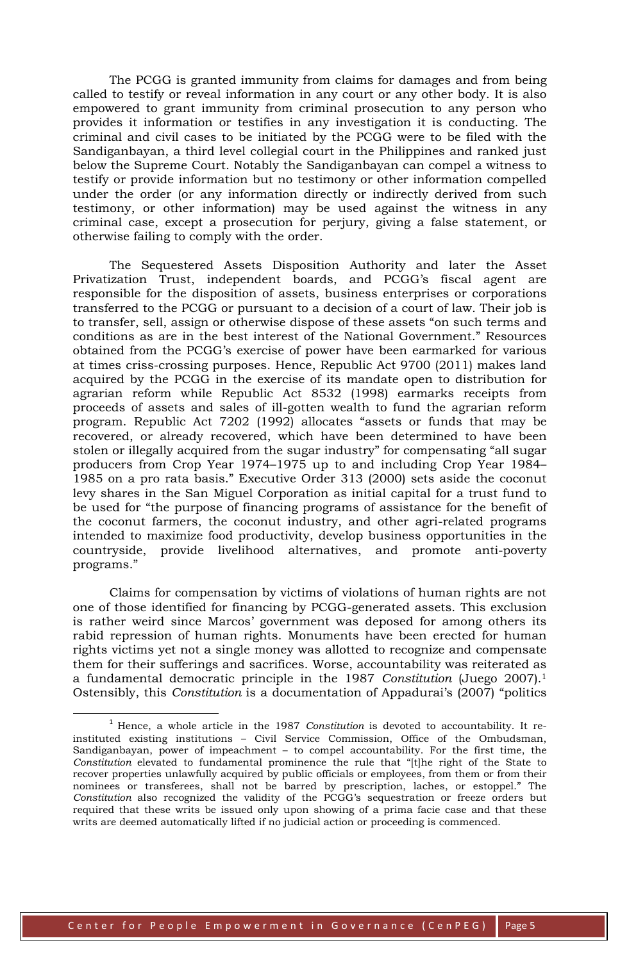The PCGG is granted immunity from claims for damages and from being called to testify or reveal information in any court or any other body. It is also empowered to grant immunity from criminal prosecution to any person who provides it information or testifies in any investigation it is conducting. The criminal and civil cases to be initiated by the PCGG were to be filed with the Sandiganbayan, a third level collegial court in the Philippines and ranked just below the Supreme Court. Notably the Sandiganbayan can compel a witness to testify or provide information but no testimony or other information compelled under the order (or any information directly or indirectly derived from such testimony, or other information) may be used against the witness in any criminal case, except a prosecution for perjury, giving a false statement, or otherwise failing to comply with the order.

The Sequestered Assets Disposition Authority and later the Asset Privatization Trust, independent boards, and PCGG's fiscal agent are responsible for the disposition of assets, business enterprises or corporations transferred to the PCGG or pursuant to a decision of a court of law. Their job is to transfer, sell, assign or otherwise dispose of these assets "on such terms and conditions as are in the best interest of the National Government." Resources obtained from the PCGG's exercise of power have been earmarked for various at times criss-crossing purposes. Hence, Republic Act 9700 (2011) makes land acquired by the PCGG in the exercise of its mandate open to distribution for agrarian reform while Republic Act 8532 (1998) earmarks receipts from proceeds of assets and sales of ill-gotten wealth to fund the agrarian reform program. Republic Act 7202 (1992) allocates "assets or funds that may be recovered, or already recovered, which have been determined to have been stolen or illegally acquired from the sugar industry" for compensating "all sugar producers from Crop Year 1974–1975 up to and including Crop Year 1984– 1985 on a pro rata basis." Executive Order 313 (2000) sets aside the coconut levy shares in the San Miguel Corporation as initial capital for a trust fund to be used for "the purpose of financing programs of assistance for the benefit of the coconut farmers, the coconut industry, and other agri-related programs intended to maximize food productivity, develop business opportunities in the countryside, provide livelihood alternatives, and promote anti-poverty programs."

Claims for compensation by victims of violations of human rights are not one of those identified for financing by PCGG-generated assets. This exclusion is rather weird since Marcos' government was deposed for among others its rabid repression of human rights. Monuments have been erected for human rights victims yet not a single money was allotted to recognize and compensate them for their sufferings and sacrifices. Worse, accountability was reiterated as a fundamental democratic principle in the 1987 *Constitution* (Juego 2007).<sup>1</sup> Ostensibly, this *Constitution* is a documentation of Appadurai's (2007) "politics

<u>.</u>

<sup>1</sup> Hence, a whole article in the 1987 *Constitution* is devoted to accountability. It reinstituted existing institutions – Civil Service Commission, Office of the Ombudsman, Sandiganbayan, power of impeachment – to compel accountability. For the first time, the *Constitution* elevated to fundamental prominence the rule that "[t]he right of the State to recover properties unlawfully acquired by public officials or employees, from them or from their nominees or transferees, shall not be barred by prescription, laches, or estoppel." The *Constitution* also recognized the validity of the PCGG's sequestration or freeze orders but required that these writs be issued only upon showing of a prima facie case and that these writs are deemed automatically lifted if no judicial action or proceeding is commenced.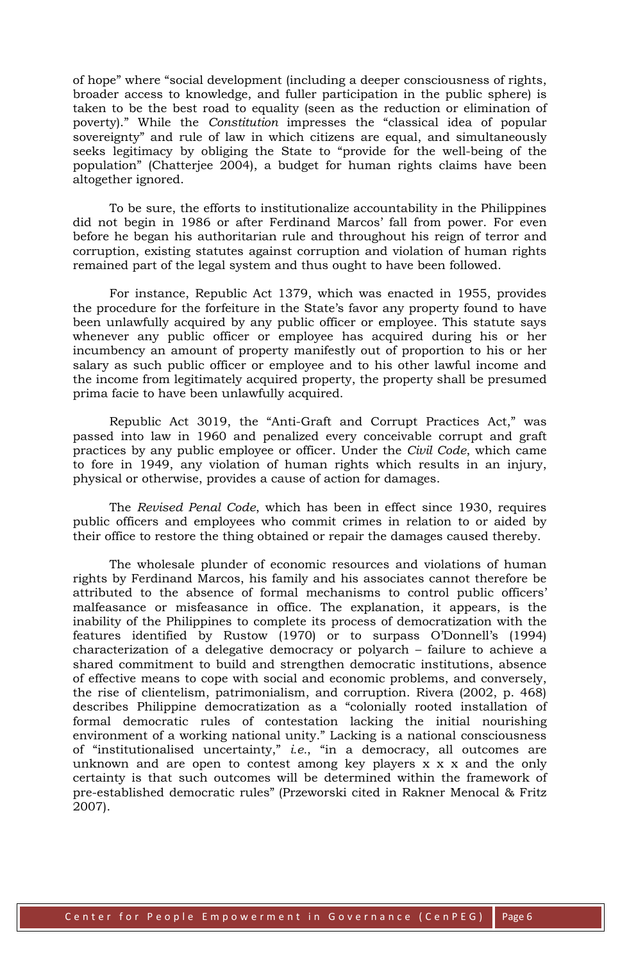of hope" where "social development (including a deeper consciousness of rights, broader access to knowledge, and fuller participation in the public sphere) is taken to be the best road to equality (seen as the reduction or elimination of poverty)." While the *Constitution* impresses the "classical idea of popular sovereignty" and rule of law in which citizens are equal, and simultaneously seeks legitimacy by obliging the State to "provide for the well-being of the population" (Chatterjee 2004), a budget for human rights claims have been altogether ignored.

To be sure, the efforts to institutionalize accountability in the Philippines did not begin in 1986 or after Ferdinand Marcos' fall from power. For even before he began his authoritarian rule and throughout his reign of terror and corruption, existing statutes against corruption and violation of human rights remained part of the legal system and thus ought to have been followed.

For instance, Republic Act 1379, which was enacted in 1955, provides the procedure for the forfeiture in the State's favor any property found to have been unlawfully acquired by any public officer or employee. This statute says whenever any public officer or employee has acquired during his or her incumbency an amount of property manifestly out of proportion to his or her salary as such public officer or employee and to his other lawful income and the income from legitimately acquired property, the property shall be presumed prima facie to have been unlawfully acquired.

Republic Act 3019, the "Anti-Graft and Corrupt Practices Act," was passed into law in 1960 and penalized every conceivable corrupt and graft practices by any public employee or officer. Under the *Civil Code*, which came to fore in 1949, any violation of human rights which results in an injury, physical or otherwise, provides a cause of action for damages.

The *Revised Penal Code*, which has been in effect since 1930, requires public officers and employees who commit crimes in relation to or aided by their office to restore the thing obtained or repair the damages caused thereby.

The wholesale plunder of economic resources and violations of human rights by Ferdinand Marcos, his family and his associates cannot therefore be attributed to the absence of formal mechanisms to control public officers' malfeasance or misfeasance in office. The explanation, it appears, is the inability of the Philippines to complete its process of democratization with the features identified by Rustow (1970) or to surpass O'Donnell's (1994) characterization of a delegative democracy or polyarch – failure to achieve a shared commitment to build and strengthen democratic institutions, absence of effective means to cope with social and economic problems, and conversely, the rise of clientelism, patrimonialism, and corruption. Rivera (2002, p. 468) describes Philippine democratization as a "colonially rooted installation of formal democratic rules of contestation lacking the initial nourishing environment of a working national unity." Lacking is a national consciousness of "institutionalised uncertainty," *i.e.*, "in a democracy, all outcomes are unknown and are open to contest among key players x x x and the only certainty is that such outcomes will be determined within the framework of pre-established democratic rules" (Przeworski cited in Rakner Menocal & Fritz 2007).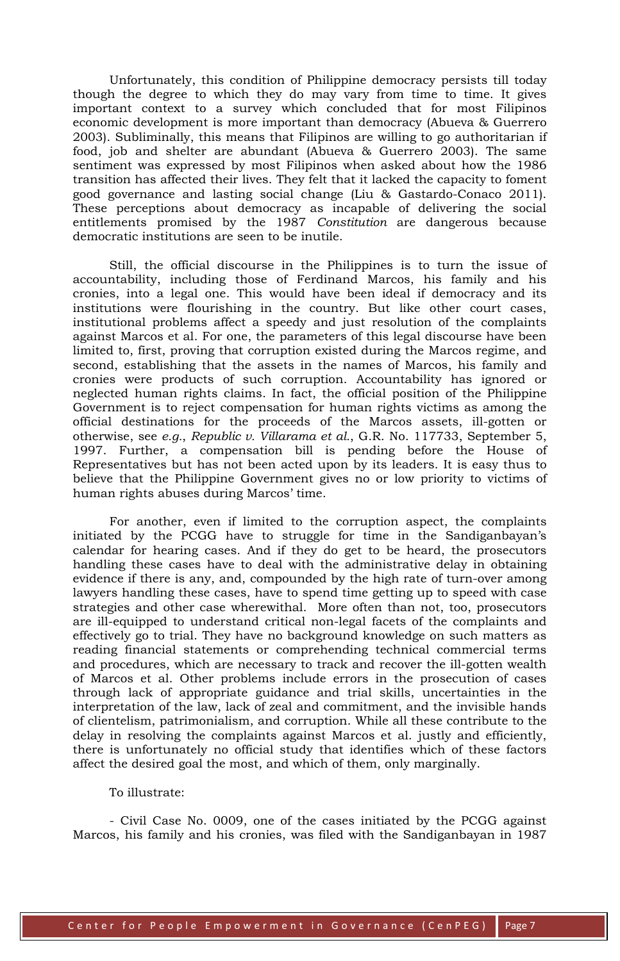Unfortunately, this condition of Philippine democracy persists till today though the degree to which they do may vary from time to time. It gives important context to a survey which concluded that for most Filipinos economic development is more important than democracy (Abueva & Guerrero 2003). Subliminally, this means that Filipinos are willing to go authoritarian if food, job and shelter are abundant (Abueva & Guerrero 2003). The same sentiment was expressed by most Filipinos when asked about how the 1986 transition has affected their lives. They felt that it lacked the capacity to foment good governance and lasting social change (Liu & Gastardo-Conaco 2011). These perceptions about democracy as incapable of delivering the social entitlements promised by the 1987 *Constitution* are dangerous because democratic institutions are seen to be inutile.

Still, the official discourse in the Philippines is to turn the issue of accountability, including those of Ferdinand Marcos, his family and his cronies, into a legal one. This would have been ideal if democracy and its institutions were flourishing in the country. But like other court cases, institutional problems affect a speedy and just resolution of the complaints against Marcos et al. For one, the parameters of this legal discourse have been limited to, first, proving that corruption existed during the Marcos regime, and second, establishing that the assets in the names of Marcos, his family and cronies were products of such corruption. Accountability has ignored or neglected human rights claims. In fact, the official position of the Philippine Government is to reject compensation for human rights victims as among the official destinations for the proceeds of the Marcos assets, ill-gotten or otherwise, see *e.g.*, *Republic v. Villarama et al.*, G.R. No. 117733, September 5, 1997. Further, a compensation bill is pending before the House of Representatives but has not been acted upon by its leaders. It is easy thus to believe that the Philippine Government gives no or low priority to victims of human rights abuses during Marcos' time.

For another, even if limited to the corruption aspect, the complaints initiated by the PCGG have to struggle for time in the Sandiganbayan's calendar for hearing cases. And if they do get to be heard, the prosecutors handling these cases have to deal with the administrative delay in obtaining evidence if there is any, and, compounded by the high rate of turn-over among lawyers handling these cases, have to spend time getting up to speed with case strategies and other case wherewithal. More often than not, too, prosecutors are ill-equipped to understand critical non-legal facets of the complaints and effectively go to trial. They have no background knowledge on such matters as reading financial statements or comprehending technical commercial terms and procedures, which are necessary to track and recover the ill-gotten wealth of Marcos et al. Other problems include errors in the prosecution of cases through lack of appropriate guidance and trial skills, uncertainties in the interpretation of the law, lack of zeal and commitment, and the invisible hands of clientelism, patrimonialism, and corruption. While all these contribute to the delay in resolving the complaints against Marcos et al. justly and efficiently, there is unfortunately no official study that identifies which of these factors affect the desired goal the most, and which of them, only marginally.

## To illustrate:

- Civil Case No. 0009, one of the cases initiated by the PCGG against Marcos, his family and his cronies, was filed with the Sandiganbayan in 1987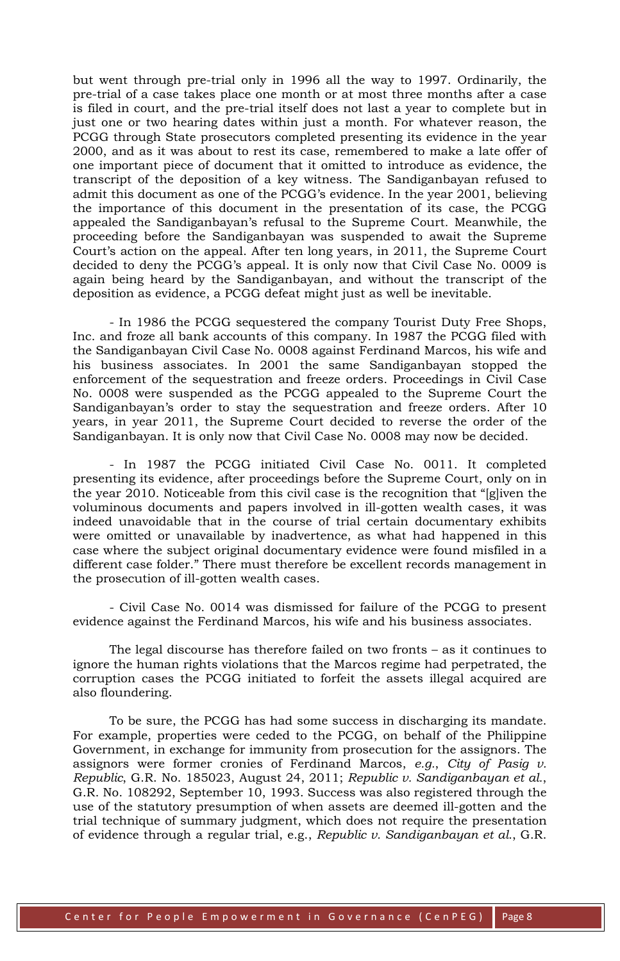but went through pre-trial only in 1996 all the way to 1997. Ordinarily, the pre-trial of a case takes place one month or at most three months after a case is filed in court, and the pre-trial itself does not last a year to complete but in just one or two hearing dates within just a month. For whatever reason, the PCGG through State prosecutors completed presenting its evidence in the year 2000, and as it was about to rest its case, remembered to make a late offer of one important piece of document that it omitted to introduce as evidence, the transcript of the deposition of a key witness. The Sandiganbayan refused to admit this document as one of the PCGG's evidence. In the year 2001, believing the importance of this document in the presentation of its case, the PCGG appealed the Sandiganbayan's refusal to the Supreme Court. Meanwhile, the proceeding before the Sandiganbayan was suspended to await the Supreme Court's action on the appeal. After ten long years, in 2011, the Supreme Court decided to deny the PCGG's appeal. It is only now that Civil Case No. 0009 is again being heard by the Sandiganbayan, and without the transcript of the deposition as evidence, a PCGG defeat might just as well be inevitable.

- In 1986 the PCGG sequestered the company Tourist Duty Free Shops, Inc. and froze all bank accounts of this company. In 1987 the PCGG filed with the Sandiganbayan Civil Case No. 0008 against Ferdinand Marcos, his wife and his business associates. In 2001 the same Sandiganbayan stopped the enforcement of the sequestration and freeze orders. Proceedings in Civil Case No. 0008 were suspended as the PCGG appealed to the Supreme Court the Sandiganbayan's order to stay the sequestration and freeze orders. After 10 years, in year 2011, the Supreme Court decided to reverse the order of the Sandiganbayan. It is only now that Civil Case No. 0008 may now be decided.

- In 1987 the PCGG initiated Civil Case No. 0011. It completed presenting its evidence, after proceedings before the Supreme Court, only on in the year 2010. Noticeable from this civil case is the recognition that "[g]iven the voluminous documents and papers involved in ill-gotten wealth cases, it was indeed unavoidable that in the course of trial certain documentary exhibits were omitted or unavailable by inadvertence, as what had happened in this case where the subject original documentary evidence were found misfiled in a different case folder." There must therefore be excellent records management in the prosecution of ill-gotten wealth cases.

- Civil Case No. 0014 was dismissed for failure of the PCGG to present evidence against the Ferdinand Marcos, his wife and his business associates.

The legal discourse has therefore failed on two fronts – as it continues to ignore the human rights violations that the Marcos regime had perpetrated, the corruption cases the PCGG initiated to forfeit the assets illegal acquired are also floundering.

To be sure, the PCGG has had some success in discharging its mandate. For example, properties were ceded to the PCGG, on behalf of the Philippine Government, in exchange for immunity from prosecution for the assignors. The assignors were former cronies of Ferdinand Marcos, *e.g.*, *City of Pasig v. Republic*, G.R. No. 185023, August 24, 2011; *Republic v. Sandiganbayan et al.*, G.R. No. 108292, September 10, 1993. Success was also registered through the use of the statutory presumption of when assets are deemed ill-gotten and the trial technique of summary judgment, which does not require the presentation of evidence through a regular trial, e.g., *Republic v. Sandiganbayan et al.*, G.R.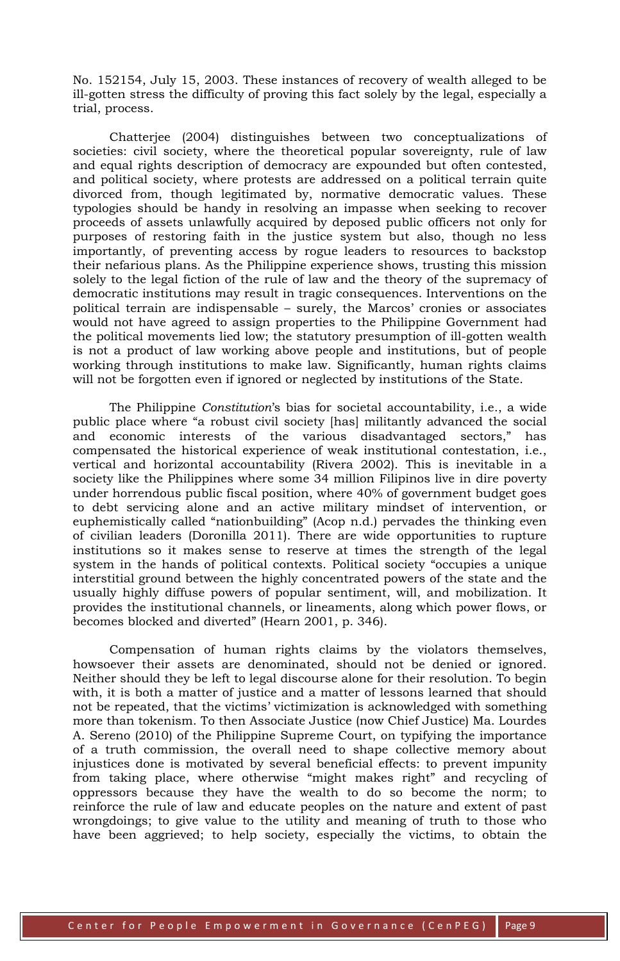No. 152154, July 15, 2003. These instances of recovery of wealth alleged to be ill-gotten stress the difficulty of proving this fact solely by the legal, especially a trial, process.

Chatterjee (2004) distinguishes between two conceptualizations of societies: civil society, where the theoretical popular sovereignty, rule of law and equal rights description of democracy are expounded but often contested, and political society, where protests are addressed on a political terrain quite divorced from, though legitimated by, normative democratic values. These typologies should be handy in resolving an impasse when seeking to recover proceeds of assets unlawfully acquired by deposed public officers not only for purposes of restoring faith in the justice system but also, though no less importantly, of preventing access by rogue leaders to resources to backstop their nefarious plans. As the Philippine experience shows, trusting this mission solely to the legal fiction of the rule of law and the theory of the supremacy of democratic institutions may result in tragic consequences. Interventions on the political terrain are indispensable – surely, the Marcos' cronies or associates would not have agreed to assign properties to the Philippine Government had the political movements lied low; the statutory presumption of ill-gotten wealth is not a product of law working above people and institutions, but of people working through institutions to make law. Significantly, human rights claims will not be forgotten even if ignored or neglected by institutions of the State.

The Philippine *Constitution*'s bias for societal accountability, i.e., a wide public place where "a robust civil society [has] militantly advanced the social and economic interests of the various disadvantaged sectors," has compensated the historical experience of weak institutional contestation, i.e., vertical and horizontal accountability (Rivera 2002). This is inevitable in a society like the Philippines where some 34 million Filipinos live in dire poverty under horrendous public fiscal position, where 40% of government budget goes to debt servicing alone and an active military mindset of intervention, or euphemistically called "nationbuilding" (Acop n.d.) pervades the thinking even of civilian leaders (Doronilla 2011). There are wide opportunities to rupture institutions so it makes sense to reserve at times the strength of the legal system in the hands of political contexts. Political society "occupies a unique interstitial ground between the highly concentrated powers of the state and the usually highly diffuse powers of popular sentiment, will, and mobilization. It provides the institutional channels, or lineaments, along which power flows, or becomes blocked and diverted" (Hearn 2001, p. 346).

Compensation of human rights claims by the violators themselves, howsoever their assets are denominated, should not be denied or ignored. Neither should they be left to legal discourse alone for their resolution. To begin with, it is both a matter of justice and a matter of lessons learned that should not be repeated, that the victims' victimization is acknowledged with something more than tokenism. To then Associate Justice (now Chief Justice) Ma. Lourdes A. Sereno (2010) of the Philippine Supreme Court, on typifying the importance of a truth commission, the overall need to shape collective memory about injustices done is motivated by several beneficial effects: to prevent impunity from taking place, where otherwise "might makes right" and recycling of oppressors because they have the wealth to do so become the norm; to reinforce the rule of law and educate peoples on the nature and extent of past wrongdoings; to give value to the utility and meaning of truth to those who have been aggrieved; to help society, especially the victims, to obtain the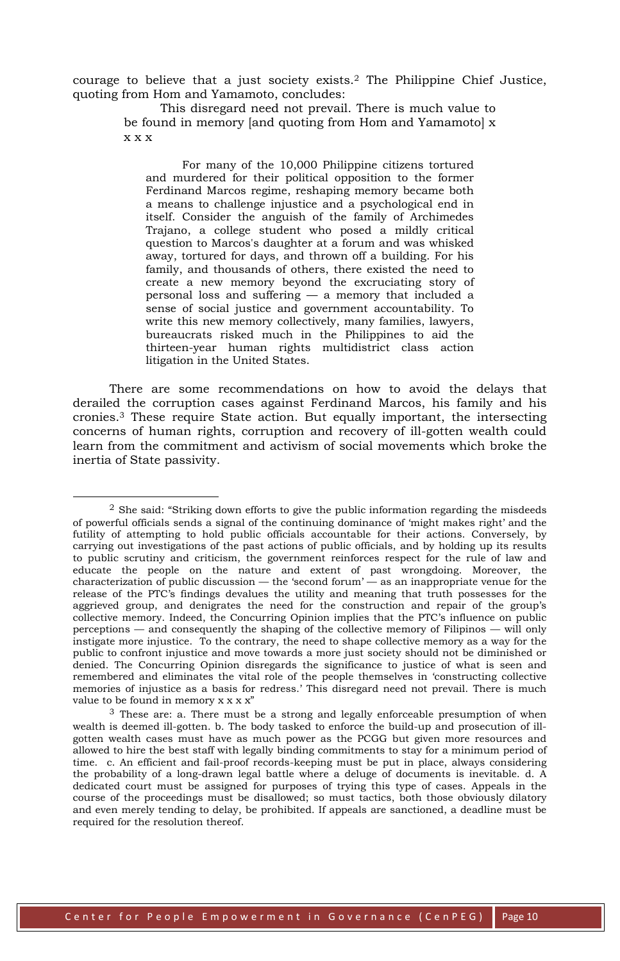courage to believe that a just society exists.2 The Philippine Chief Justice, quoting from Hom and Yamamoto, concludes:

> This disregard need not prevail. There is much value to be found in memory [and quoting from Hom and Yamamoto] x x x x

For many of the 10,000 Philippine citizens tortured and murdered for their political opposition to the former Ferdinand Marcos regime, reshaping memory became both a means to challenge injustice and a psychological end in itself. Consider the anguish of the family of Archimedes Trajano, a college student who posed a mildly critical question to Marcos's daughter at a forum and was whisked away, tortured for days, and thrown off a building. For his family, and thousands of others, there existed the need to create a new memory beyond the excruciating story of personal loss and suffering — a memory that included a sense of social justice and government accountability. To write this new memory collectively, many families, lawyers, bureaucrats risked much in the Philippines to aid the thirteen-year human rights multidistrict class action litigation in the United States.

There are some recommendations on how to avoid the delays that derailed the corruption cases against Ferdinand Marcos, his family and his cronies.3 These require State action. But equally important, the intersecting concerns of human rights, corruption and recovery of ill-gotten wealth could learn from the commitment and activism of social movements which broke the inertia of State passivity.

-

 $<sup>2</sup>$  She said: "Striking down efforts to give the public information regarding the misdeeds</sup> of powerful officials sends a signal of the continuing dominance of 'might makes right' and the futility of attempting to hold public officials accountable for their actions. Conversely, by carrying out investigations of the past actions of public officials, and by holding up its results to public scrutiny and criticism, the government reinforces respect for the rule of law and educate the people on the nature and extent of past wrongdoing. Moreover, the characterization of public discussion — the 'second forum' — as an inappropriate venue for the release of the PTC's findings devalues the utility and meaning that truth possesses for the aggrieved group, and denigrates the need for the construction and repair of the group's collective memory. Indeed, the Concurring Opinion implies that the PTC's influence on public perceptions — and consequently the shaping of the collective memory of Filipinos — will only instigate more injustice. To the contrary, the need to shape collective memory as a way for the public to confront injustice and move towards a more just society should not be diminished or denied. The Concurring Opinion disregards the significance to justice of what is seen and remembered and eliminates the vital role of the people themselves in 'constructing collective memories of injustice as a basis for redress.' This disregard need not prevail. There is much value to be found in memory  $x \times x$ "

 $3$  These are: a. There must be a strong and legally enforceable presumption of when wealth is deemed ill-gotten. b. The body tasked to enforce the build-up and prosecution of illgotten wealth cases must have as much power as the PCGG but given more resources and allowed to hire the best staff with legally binding commitments to stay for a minimum period of time. c. An efficient and fail-proof records-keeping must be put in place, always considering the probability of a long-drawn legal battle where a deluge of documents is inevitable. d. A dedicated court must be assigned for purposes of trying this type of cases. Appeals in the course of the proceedings must be disallowed; so must tactics, both those obviously dilatory and even merely tending to delay, be prohibited. If appeals are sanctioned, a deadline must be required for the resolution thereof.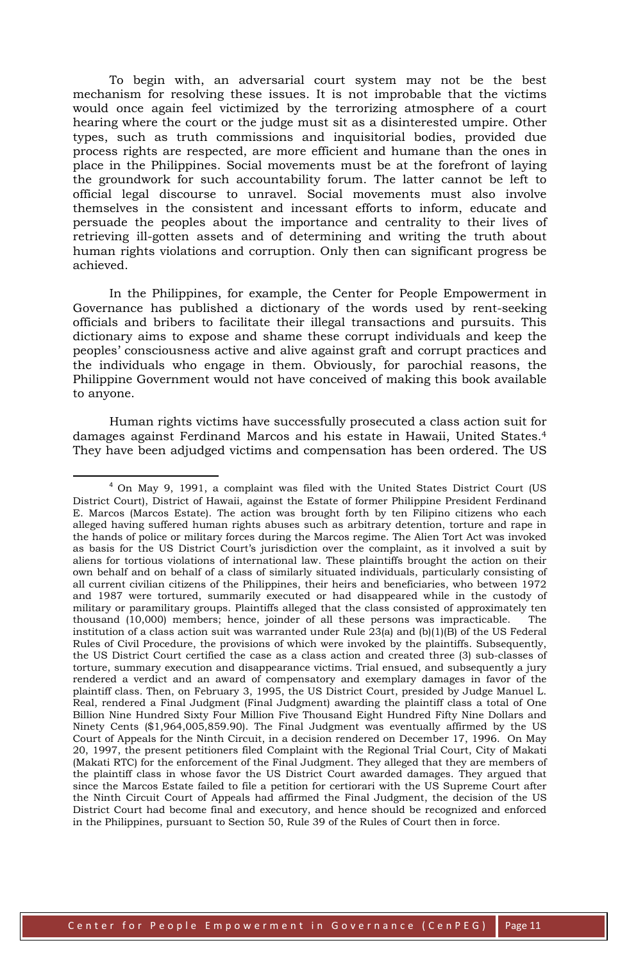To begin with, an adversarial court system may not be the best mechanism for resolving these issues. It is not improbable that the victims would once again feel victimized by the terrorizing atmosphere of a court hearing where the court or the judge must sit as a disinterested umpire. Other types, such as truth commissions and inquisitorial bodies, provided due process rights are respected, are more efficient and humane than the ones in place in the Philippines. Social movements must be at the forefront of laying the groundwork for such accountability forum. The latter cannot be left to official legal discourse to unravel. Social movements must also involve themselves in the consistent and incessant efforts to inform, educate and persuade the peoples about the importance and centrality to their lives of retrieving ill-gotten assets and of determining and writing the truth about human rights violations and corruption. Only then can significant progress be achieved.

In the Philippines, for example, the Center for People Empowerment in Governance has published a dictionary of the words used by rent-seeking officials and bribers to facilitate their illegal transactions and pursuits. This dictionary aims to expose and shame these corrupt individuals and keep the peoples' consciousness active and alive against graft and corrupt practices and the individuals who engage in them. Obviously, for parochial reasons, the Philippine Government would not have conceived of making this book available to anyone.

Human rights victims have successfully prosecuted a class action suit for damages against Ferdinand Marcos and his estate in Hawaii, United States.<sup>4</sup> They have been adjudged victims and compensation has been ordered. The US

<u>.</u>

 $4$  On May 9, 1991, a complaint was filed with the United States District Court (US District Court), District of Hawaii, against the Estate of former Philippine President Ferdinand E. Marcos (Marcos Estate). The action was brought forth by ten Filipino citizens who each alleged having suffered human rights abuses such as arbitrary detention, torture and rape in the hands of police or military forces during the Marcos regime. The Alien Tort Act was invoked as basis for the US District Court's jurisdiction over the complaint, as it involved a suit by aliens for tortious violations of international law. These plaintiffs brought the action on their own behalf and on behalf of a class of similarly situated individuals, particularly consisting of all current civilian citizens of the Philippines, their heirs and beneficiaries, who between 1972 and 1987 were tortured, summarily executed or had disappeared while in the custody of military or paramilitary groups. Plaintiffs alleged that the class consisted of approximately ten thousand (10,000) members; hence, joinder of all these persons was impracticable. The institution of a class action suit was warranted under Rule  $23(a)$  and  $(b)(1)(B)$  of the US Federal Rules of Civil Procedure, the provisions of which were invoked by the plaintiffs. Subsequently, the US District Court certified the case as a class action and created three (3) sub-classes of torture, summary execution and disappearance victims. Trial ensued, and subsequently a jury rendered a verdict and an award of compensatory and exemplary damages in favor of the plaintiff class. Then, on February 3, 1995, the US District Court, presided by Judge Manuel L. Real, rendered a Final Judgment (Final Judgment) awarding the plaintiff class a total of One Billion Nine Hundred Sixty Four Million Five Thousand Eight Hundred Fifty Nine Dollars and Ninety Cents (\$1,964,005,859.90). The Final Judgment was eventually affirmed by the US Court of Appeals for the Ninth Circuit, in a decision rendered on December 17, 1996. On May 20, 1997, the present petitioners filed Complaint with the Regional Trial Court, City of Makati (Makati RTC) for the enforcement of the Final Judgment. They alleged that they are members of the plaintiff class in whose favor the US District Court awarded damages. They argued that since the Marcos Estate failed to file a petition for certiorari with the US Supreme Court after the Ninth Circuit Court of Appeals had affirmed the Final Judgment, the decision of the US District Court had become final and executory, and hence should be recognized and enforced in the Philippines, pursuant to Section 50, Rule 39 of the Rules of Court then in force.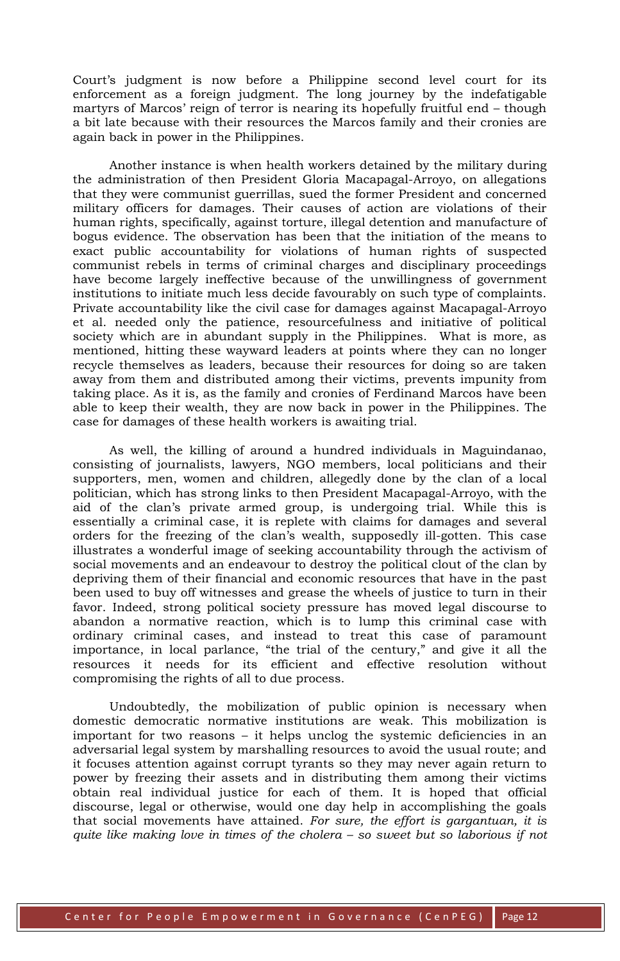Court's judgment is now before a Philippine second level court for its enforcement as a foreign judgment. The long journey by the indefatigable martyrs of Marcos' reign of terror is nearing its hopefully fruitful end – though a bit late because with their resources the Marcos family and their cronies are again back in power in the Philippines.

Another instance is when health workers detained by the military during the administration of then President Gloria Macapagal-Arroyo, on allegations that they were communist guerrillas, sued the former President and concerned military officers for damages. Their causes of action are violations of their human rights, specifically, against torture, illegal detention and manufacture of bogus evidence. The observation has been that the initiation of the means to exact public accountability for violations of human rights of suspected communist rebels in terms of criminal charges and disciplinary proceedings have become largely ineffective because of the unwillingness of government institutions to initiate much less decide favourably on such type of complaints. Private accountability like the civil case for damages against Macapagal-Arroyo et al. needed only the patience, resourcefulness and initiative of political society which are in abundant supply in the Philippines. What is more, as mentioned, hitting these wayward leaders at points where they can no longer recycle themselves as leaders, because their resources for doing so are taken away from them and distributed among their victims, prevents impunity from taking place. As it is, as the family and cronies of Ferdinand Marcos have been able to keep their wealth, they are now back in power in the Philippines. The case for damages of these health workers is awaiting trial.

As well, the killing of around a hundred individuals in Maguindanao, consisting of journalists, lawyers, NGO members, local politicians and their supporters, men, women and children, allegedly done by the clan of a local politician, which has strong links to then President Macapagal-Arroyo, with the aid of the clan's private armed group, is undergoing trial. While this is essentially a criminal case, it is replete with claims for damages and several orders for the freezing of the clan's wealth, supposedly ill-gotten. This case illustrates a wonderful image of seeking accountability through the activism of social movements and an endeavour to destroy the political clout of the clan by depriving them of their financial and economic resources that have in the past been used to buy off witnesses and grease the wheels of justice to turn in their favor. Indeed, strong political society pressure has moved legal discourse to abandon a normative reaction, which is to lump this criminal case with ordinary criminal cases, and instead to treat this case of paramount importance, in local parlance, "the trial of the century," and give it all the resources it needs for its efficient and effective resolution without compromising the rights of all to due process.

Undoubtedly, the mobilization of public opinion is necessary when domestic democratic normative institutions are weak. This mobilization is important for two reasons – it helps unclog the systemic deficiencies in an adversarial legal system by marshalling resources to avoid the usual route; and it focuses attention against corrupt tyrants so they may never again return to power by freezing their assets and in distributing them among their victims obtain real individual justice for each of them. It is hoped that official discourse, legal or otherwise, would one day help in accomplishing the goals that social movements have attained. *For sure, the effort is gargantuan, it is quite like making love in times of the cholera – so sweet but so laborious if not*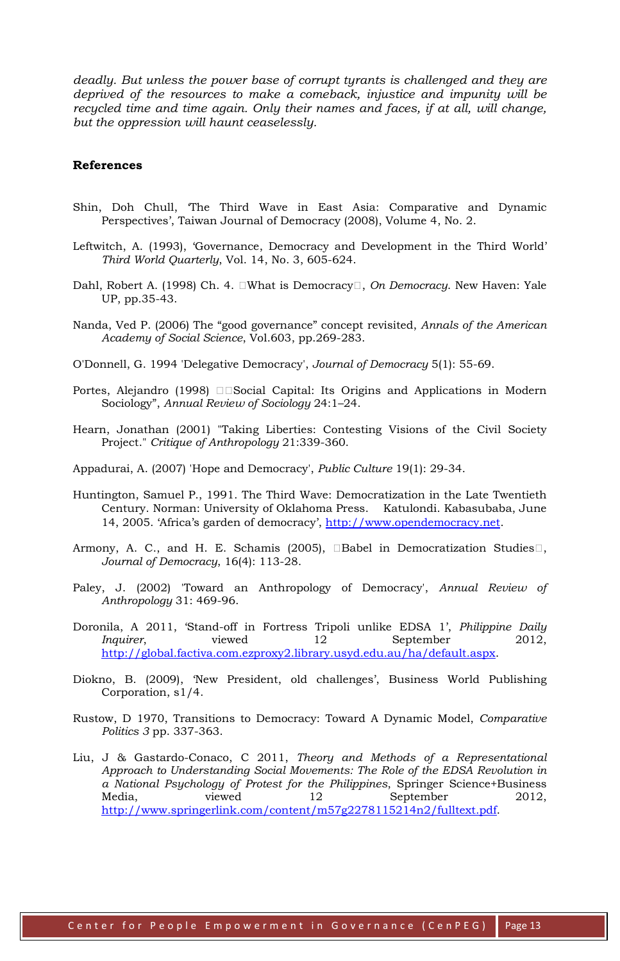*deadly. But unless the power base of corrupt tyrants is challenged and they are deprived of the resources to make a comeback, injustice and impunity will be recycled time and time again. Only their names and faces, if at all, will change, but the oppression will haunt ceaselessly.*

## **References**

- Shin, Doh Chull, 'The Third Wave in East Asia: Comparative and Dynamic Perspectives', Taiwan Journal of Democracy (2008), Volume 4, No. 2.
- Leftwitch, A. (1993), 'Governance, Democracy and Development in the Third World' *Third World Quarterly*, Vol. 14, No. 3, 605-624.
- Dahl, Robert A. (1998) Ch. 4. What is Democracy, *On Democracy*. New Haven: Yale UP, pp.35-43.
- Nanda, Ved P. (2006) The "good governance" concept revisited, *Annals of the American Academy of Social Science*, Vol.603, pp.269-283.
- O'Donnell, G. 1994 'Delegative Democracy', *Journal of Democracy* 5(1): 55-69.
- Portes, Alejandro (1998) Social Capital: Its Origins and Applications in Modern Sociology", *Annual Review of Sociology* 24:1–24.
- Hearn, Jonathan (2001) "Taking Liberties: Contesting Visions of the Civil Society Project." *Critique of Anthropology* 21:339-360.
- Appadurai, A. (2007) 'Hope and Democracy', *Public Culture* 19(1): 29-34.
- Huntington, Samuel P., 1991. The Third Wave: Democratization in the Late Twentieth Century. Norman: University of Oklahoma Press. Katulondi. Kabasubaba, June 14, 2005. 'Africa's garden of democracy', [http://www.opendemocracy.net.](http://www.opendemocracy.net/)
- Armony, A. C., and H. E. Schamis (2005), Babel in Democratization Studies, *Journal of Democracy*, 16(4): 113-28.
- Paley, J. (2002) 'Toward an Anthropology of Democracy', *Annual Review of Anthropology* 31: 469-96.
- Doronila, A 2011, 'Stand-off in Fortress Tripoli unlike EDSA 1', *Philippine Daily Inquirer*, viewed 12 September 2012, [http://global.factiva.com.ezproxy2.library.usyd.edu.au/ha/default.aspx.](http://global.factiva.com.ezproxy2.library.usyd.edu.au/ha/default.aspx)
- Diokno, B. (2009), 'New President, old challenges', Business World Publishing Corporation, s1/4.
- Rustow, D 1970, Transitions to Democracy: Toward A Dynamic Model, *Comparative Politics 3* pp. 337-363.
- Liu, J & Gastardo-Conaco, C 2011, *Theory and Methods of a Representational Approach to Understanding Social Movements: The Role of the EDSA Revolution in a National Psychology of Protest for the Philippines*, Springer Science+Business Media,  $viewed$  12 September 2012, [http://www.springerlink.com/content/m57g2278115214n2/fulltext.pdf.](http://www.springerlink.com/content/m57g2278115214n2/fulltext.pdf)